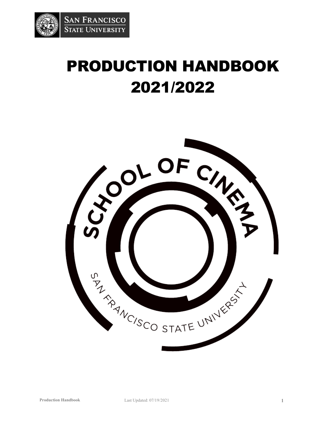

# PRODUCTION HANDBOOK 2021/2022

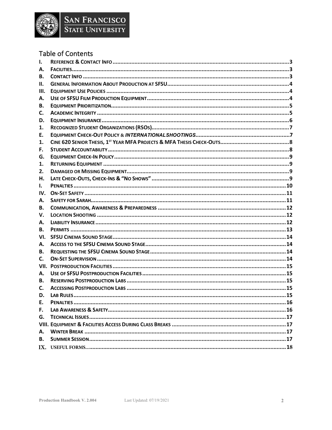

# **Table of Contents**

| 1.        |  |
|-----------|--|
| А.        |  |
| В.        |  |
| II.       |  |
| III.      |  |
| А.        |  |
| В.        |  |
| C.        |  |
| D.        |  |
| 1.        |  |
| Ε.        |  |
| 1.        |  |
| F.        |  |
| G.        |  |
| 1.        |  |
| 2.        |  |
| Н.        |  |
| I.        |  |
| IV.       |  |
| Α.        |  |
| В.        |  |
| v.        |  |
| А.        |  |
| В.        |  |
| VI.       |  |
| А.        |  |
| В.        |  |
| C.        |  |
| VII.      |  |
| А.        |  |
| В.        |  |
| C.        |  |
| D.        |  |
| E.        |  |
| F.        |  |
| G.        |  |
|           |  |
| А.        |  |
| <b>B.</b> |  |
|           |  |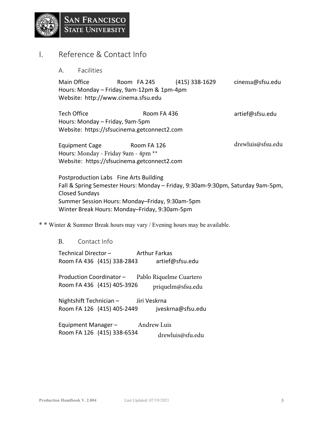

# I. Reference & Contact Info

A. Facilities

Main Office **Room FA 245** (415) 338-1629 cinema@sfsu.edu Hours: Monday – Friday, 9am-12pm & 1pm-4pm Website: http://www.cinema.sfsu.edu

artief@sfsu.edu Tech Office Room FA 436 Hours: Monday – Friday, 9am-5pm Website: https://sfsucinema.getconnect2.com

drewluis@sfsu.edu Equipment Cage Room FA 126 Hours: Monday - Friday 9am - 4pm \*\* Website: https://sfsucinema.getconnect2.com

Postproduction Labs Fine Arts Building Fall & Spring Semester Hours: Monday – Friday, 9:30am-9:30pm, Saturday 9am-5pm, Closed Sundays Summer Session Hours: Monday–Friday, 9:30am-5pm Winter Break Hours: Monday–Friday, 9:30am-5pm

\* \* Winter & Summer Break hours may vary / Evening hours may be available.

#### B. Contact Info

Technical Director – Arthur Farkas Room FA 436 (415) 338-2843 artief@sfsu.edu

Production Coordinator – Pablo Riquelme Cuartero Room FA 436 (415) 405-3926  $\frac{p_{\text{triquel}}}{p_{\text{triquel}}}\$ 

Nightshift Technician – Jiri Veskrna Room FA 126 (415) 405-2449 jveskrna@sfsu.edu

Equipment Manager – Andrew Luis Room FA 126 (415) 338-6534 drewluis@sfu.edu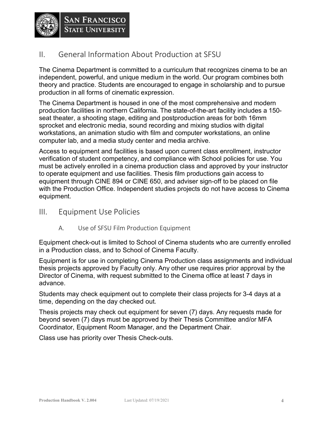

# II. General Information About Production at SFSU

The Cinema Department is committed to a curriculum that recognizes cinema to be an independent, powerful, and unique medium in the world. Our program combines both theory and practice. Students are encouraged to engage in scholarship and to pursue production in all forms of cinematic expression.

The Cinema Department is housed in one of the most comprehensive and modern production facilities in northern California. The state-of-the-art facility includes a 150 seat theater, a shooting stage, editing and postproduction areas for both 16mm sprocket and electronic media, sound recording and mixing studios with digital workstations, an animation studio with film and computer workstations, an online computer lab, and a media study center and media archive.

Access to equipment and facilities is based upon current class enrollment, instructor verification of student competency, and compliance with School policies for use. You must be actively enrolled in a cinema production class and approved by your instructor to operate equipment and use facilities. Thesis film productions gain access to equipment through CINE 894 or CINE 650, and adviser sign-off to be placed on file with the Production Office. Independent studies projects do not have access to Cinema equipment.

- III. Equipment Use Policies
	- A. Use of SFSU Film Production Equipment

Equipment check-out is limited to School of Cinema students who are currently enrolled in a Production class, and to School of Cinema Faculty.

Equipment is for use in completing Cinema Production class assignments and individual thesis projects approved by Faculty only. Any other use requires prior approval by the Director of Cinema, with request submitted to the Cinema office at least 7 days in advance.

Students may check equipment out to complete their class projects for 3-4 days at a time, depending on the day checked out.

Thesis projects may check out equipment for seven (7) days. Any requests made for beyond seven (7) days must be approved by their Thesis Committee and/or MFA Coordinator, Equipment Room Manager, and the Department Chair.

Class use has priority over Thesis Check-outs.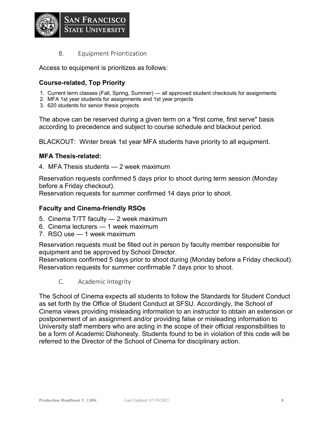

B. Equipment Prioritization

Access to equipment is prioritizes as follows:

#### **Course-related, Top Priority**

- 1. Current term classes (Fall, Spring, Summer) all approved student checkouts for assignments
- 2. MFA 1st year students for assignments and 1st year projects
- 3. 620 students for senior thesis projects

The above can be reserved during a given term on a "first come, first serve" basis according to precedence and subject to course schedule and blackout period.

BLACKOUT: Winter break 1st year MFA students have priority to all equipment.

#### **MFA Thesis-related:**

4. MFA Thesis students — 2 week maximum

Reservation requests confirmed 5 days prior to shoot during term session (Monday before a Friday checkout).

Reservation requests for summer confirmed 14 days prior to shoot.

#### **Faculty and Cinema-friendly RSOs**

- 5. Cinema T/TT faculty 2 week maximum
- 6. Cinema lecturers 1 week maximum
- 7. RSO use 1 week maximum

Reservation requests must be filled out in person by faculty member responsible for equipment and be approved by School Director.

Reservations confirmed 5 days prior to shoot during (Monday before a Friday checkout). Reservation requests for summer confirmable 7 days prior to shoot.

C. Academic Integrity

The School of Cinema expects all students to follow the Standards for Student Conduct as set forth by the Office of Student Conduct at SFSU. Accordingly, the School of Cinema views providing misleading information to an instructor to obtain an extension or postponement of an assignment and/or providing false or misleading information to University staff members who are acting in the scope of their official responsibilities to be a form of Academic Dishonesty. Students found to be in violation of this code will be referred to the Director of the School of Cinema for disciplinary action.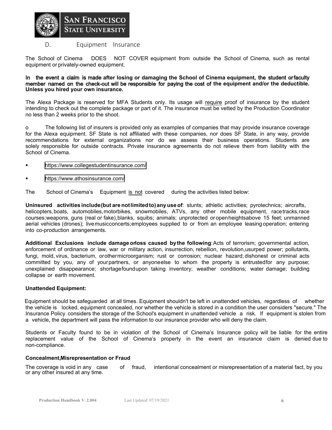

#### D. Equipment Insurance

The School of Cinema DOES NOT COVER equipment from outside the School of Cinema, such as rental equipment or privately-owned equipment.

#### Inthe event a claim is made **after losing or damaging the School of Cinema equipment,** the student or faculty member named on the check-out will be responsible for paying the cost of **the equipment and/or the deductible. Unless you hired your own insurance.**

The Alexa Package is reserved for MFA Students only. Its usage will require proof of insurance by the student intending to check out the complete package or part of it. The insurance must be vetted by the Production Coordinator no less than 2 weeks prior to the shoot.

o The following list of insurers is provided only as examples of companies that may provide insurance coverage for the Alexa equipment. SF State is not affiliated with these companies, nor does SF State, in any way, provide recommendations for external organizations nor do we assess their business operations. Students are solely responsible for outside contracts. Private insurance agreements do not relieve them from liability with the School of Cinema.

- <https://www.collegestudentinsurance.com/>
- <https://www.athosinsurance.com/>

The School of Cinema's Equipment is not covered during the activities listed below:

**Uninsured activitiesinclude(butare notlimitedto)any use of**: stunts; athletic activities; pyrotechnics; aircrafts, helicopters, boats, automobiles, motorbikes, snowmobiles, ATVs, any other mobile equipment, race tracks, race courses; weapons, guns (real or fake),blanks, squibs; animals; unprotected or open heights above 15 feet; unmanned aerial vehicles (drones); live music concerts; employees supplied to or from an employee leasing operation; entering into co-production arrangements.

**Additional Exclusions include damage orlo ss caused bythe following**: Acts of terrorism; governmental action, enforcement of ordinance or law, war or military action, insurrection, rebellion, revolution, usurped power; pollutants, fungi, mold, virus, bacterium, or other microorganism; rust or corrosion; nuclear hazard; dishonest or criminal acts committed by you, any of your partners, or anyone else to whom the property is entrusted for any purpose; unexplained disappearance; shortage found upon taking inventory; weather conditions; water damage; building collapse or earth movement.

#### **Unattended Equipment:**

Equipment should be safeguarded at all times. Equipment shouldn't be left in unattended vehicles, regardless of whether the vehicle is locked, equipment concealed, nor whether the vehicle is stored in a condition the user considers "secure." The Insurance Policy considers the storage of the School's equipment in unattended vehicle a risk. If equipment is stolen from a vehicle, the department will pass the information to our insurance provider who will deny the claim.

Students or Faculty found to be in violation of the School of Cinema's Insurance policy will be liable for the entire replacement value of the School of Cinema's property in the event an insurance claim is denied due to non-compliance.

#### **Concealment,Misrepresentation or Fraud**

The coverage is void in any case of fraud, intentional concealment or misrepresentation of a material fact, by you or any other insured at any time.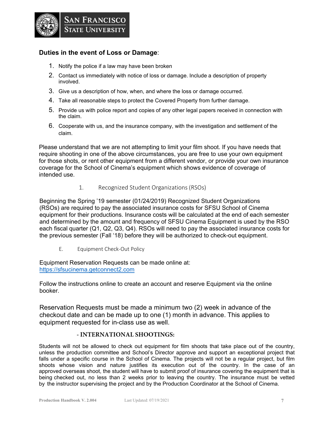

#### **Duties in the event of Loss or Damage**:

- 1. Notify the police if a law may have been broken
- 2. Contact us immediately with notice of loss or damage. Include a description of property involved.
- 3. Give us a description of how, when, and where the loss or damage occurred.
- 4. Take all reasonable steps to protect the Covered Property from further damage.
- 5. Provide us with police report and copies of any other legal papers received in connection with the claim.
- 6. Cooperate with us, and the insurance company, with the investigation and settlement of the claim.

Please understand that we are not attempting to limit your film shoot. If you have needs that require shooting in one of the above circumstances, you are free to use your own equipment for those shots, or rent other equipment from a different vendor, or provide your own insurance coverage for the School of Cinema's equipment which shows evidence of coverage of intended use.

#### 1. Recognized Student Organizations (RSOs)

Beginning the Spring '19 semester (01/24/2019) Recognized Student Organizations (RSOs) are required to pay the associated insurance costs for SFSU School of Cinema equipment for their productions. Insurance costs will be calculated at the end of each semester and determined by the amount and frequency of SFSU Cinema Equipment is used by the RSO each fiscal quarter (Q1, Q2, Q3, Q4). RSOs will need to pay the associated insurance costs for the previous semester (Fall '18) before they will be authorized to check-out equipment.

E. Equipment Check-Out Policy

Equipment Reservation Requests can be made online at: https://sfsucinema.getconnect2.com

Follow the instructions online to create an account and reserve Equipment via the online booker.

Reservation Requests must be made a minimum two (2) week in advance of the checkout date and can be made up to one (1) month in advance. This applies to equipment requested for in-class use as well.

#### **- INTERNATIONAL SHOOTINGS:**

Students will not be allowed to check out equipment for film shoots that take place out of the country, unless the production committee and School's Director approve and support an exceptional project that falls under a specific course in the School of Cinema. The projects will not be a regular project, but film shoots whose vision and nature justifies its execution out of the country. In the case of an approved overseas shoot, the student will have to submit proof of insurance covering the equipment that is being checked out, no less than 2 weeks prior to leaving the country. The insurance must be vetted by the instructor supervising the project and by the Production Coordinator at the School of Cinema.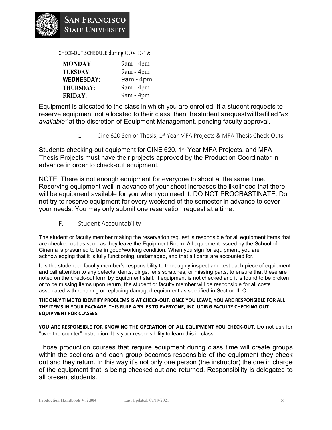CHECK-OUT SCHEDULE during COVID-19:

| <b>MONDAY:</b>    | 9am - 4pm   |
|-------------------|-------------|
| <b>TUESDAY:</b>   | 9am - 4pm   |
| <b>WEDNESDAY:</b> | $9am - 4pm$ |
| <b>THURSDAY:</b>  | 9am - 4pm   |
| <b>FRIDAY:</b>    | 9am - 4pm   |

Equipment is allocated to the class in which you are enrolled. If a student requests to reserve equipment not allocated to their class, then thestudent's request willbefilled*"as available"* at the discretion of Equipment Management, pending faculty approval*.* 

1. Cine 620 Senior Thesis, 1<sup>st</sup> Year MFA Projects & MFA Thesis Check-Outs

Students checking-out equipment for CINE 620, 1<sup>st</sup> Year MFA Projects, and MFA Thesis Projects must have their projects approved by the Production Coordinator in advance in order to check-out equipment.

NOTE: There is not enough equipment for everyone to shoot at the same time. Reserving equipment well in advance of your shoot increases the likelihood that there will be equipment available for you when you need it. DO NOT PROCRASTINATE. Do not try to reserve equipment for every weekend of the semester in advance to cover your needs. You may only submit one reservation request at a time.

F. Student Accountability

The student or faculty member making the reservation request is responsible for all equipment items that are checked-out as soon as they leave the Equipment Room. All equipment issued by the School of Cinema is presumed to be in good/working condition. When you sign for equipment, you are acknowledging that it is fully functioning, undamaged, and that all parts are accounted for.

It is the student or faculty member's responsibility to thoroughly inspect and test each piece of equipment and call attention to any defects, dents, dings, lens scratches, or missing parts, to ensure that these are noted on the check-out form by Equipment staff. If equipment is not checked and it is found to be broken or to be missing items upon return, the student or faculty member will be responsible for all costs associated with repairing or replacing damaged equipment as specified in Section III.C.

#### **THE ONLY TIME TO IDENTIFY PROBLEMS IS AT CHECK-OUT. ONCE YOU LEAVE, YOU ARE RESPONSIBLE FOR ALL THE ITEMS IN YOUR PACKAGE. THIS RULE APPLIES TO EVERYONE, INCLUDING FACULTY CHECKING OUT EQUIPMENT FOR CLASSES.**

**YOU ARE RESPONSIBLE FOR KNOWING THE OPERATION OF ALL EQUIPMENT YOU CHECK-OUT.** Do not ask for "over the counter" instruction. It is your responsibility to learn this in class.

Those production courses that require equipment during class time will create groups within the sections and each group becomes responsible of the equipment they check out and they return. In this way it's not only one person (the instructor) the one in charge of the equipment that is being checked out and returned. Responsibility is delegated to all present students.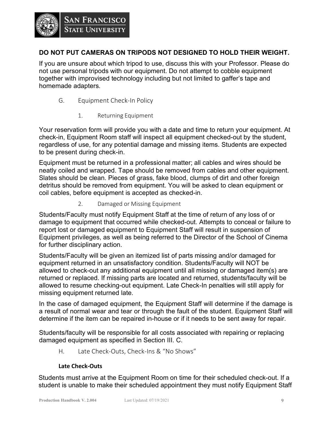# SAN FRANCISCO

### **DO NOT PUT CAMERAS ON TRIPODS NOT DESIGNED TO HOLD THEIR WEIGHT.**

If you are unsure about which tripod to use, discuss this with your Professor. Please do not use personal tripods with our equipment. Do not attempt to cobble equipment together with improvised technology including but not limited to gaffer's tape and homemade adapters.

- G. Equipment Check-In Policy
	- 1. Returning Equipment

Your reservation form will provide you with a date and time to return your equipment. At check-in, Equipment Room staff will inspect all equipment checked-out by the student, regardless of use, for any potential damage and missing items. Students are expected to be present during check-in.

Equipment must be returned in a professional matter; all cables and wires should be neatly coiled and wrapped. Tape should be removed from cables and other equipment. Slates should be clean. Pieces of grass, fake blood, clumps of dirt and other foreign detritus should be removed from equipment. You will be asked to clean equipment or coil cables, before equipment is accepted as checked-in.

2. Damaged or Missing Equipment

Students/Faculty must notify Equipment Staff at the time of return of any loss of or damage to equipment that occurred while checked-out. Attempts to conceal or failure to report lost or damaged equipment to Equipment Staff will result in suspension of Equipment privileges, as well as being referred to the Director of the School of Cinema for further disciplinary action.

Students/Faculty will be given an itemized list of parts missing and/or damaged for equipment returned in an unsatisfactory condition. Students/Faculty will NOT be allowed to check-out any additional equipment until all missing or damaged item(s) are returned or replaced. If missing parts are located and returned, students/faculty will be allowed to resume checking-out equipment. Late Check-In penalties will still apply for missing equipment returned late.

In the case of damaged equipment, the Equipment Staff will determine if the damage is a result of normal wear and tear or through the fault of the student. Equipment Staff will determine if the item can be repaired in-house or if it needs to be sent away for repair.

Students/faculty will be responsible for all costs associated with repairing or replacing damaged equipment as specified in Section III. C.

H. Late Check-Outs, Check-Ins & "No Shows"

#### **Late Check-Outs**

Students must arrive at the Equipment Room on time for their scheduled check-out. If a student is unable to make their scheduled appointment they must notify Equipment Staff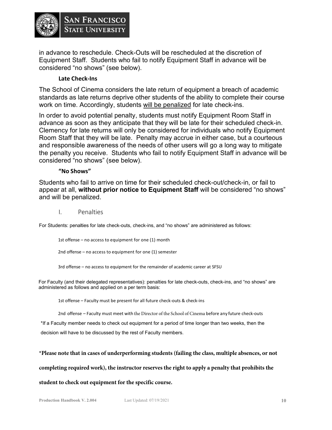

in advance to reschedule. Check-Outs will be rescheduled at the discretion of Equipment Staff. Students who fail to notify Equipment Staff in advance will be considered "no shows" (see below).

#### **Late Check-Ins**

The School of Cinema considers the late return of equipment a breach of academic standards as late returns deprive other students of the ability to complete their course work on time. Accordingly, students will be penalized for late check-ins.

In order to avoid potential penalty, students must notify Equipment Room Staff in advance as soon as they anticipate that they will be late for their scheduled check-in. Clemency for late returns will only be considered for individuals who notify Equipment Room Staff that they will be late. Penalty may accrue in either case, but a courteous and responsible awareness of the needs of other users will go a long way to mitigate the penalty you receive. Students who fail to notify Equipment Staff in advance will be considered "no shows" (see below).

#### **"No Shows"**

Students who fail to arrive on time for their scheduled check-out/check-in, or fail to appear at all, **without prior notice to Equipment Staff** will be considered "no shows" and will be penalized.

I. Penalties

For Students: penalties for late check-outs, check-ins, and "no shows" are administered as follows:

1st offense – no access to equipment for one (1) month

2nd offense – no access to equipment for one (1) semester

3rd offense – no access to equipment for the remainder of academic career at SFSU

For Faculty (and their delegated representatives): penalties for late check-outs, check-ins, and "no shows" are administered as follows and applied on a per term basis:

1st offense – Faculty must be present for all future check-outs & check-ins

2nd offense – Faculty must meet with the Director of the School of Cinema before any future check-outs

\*If a Faculty member needs to check out equipment for a period of time longer than two weeks, then the decision will have to be discussed by the rest of Faculty members.

#### **\*Please note that in cases of underperforming students (failing the class, multiple absences, or not**

**completing required work), the instructor reserves the right to apply a penalty that prohibits the** 

#### **student to check out equipment for the specific course.**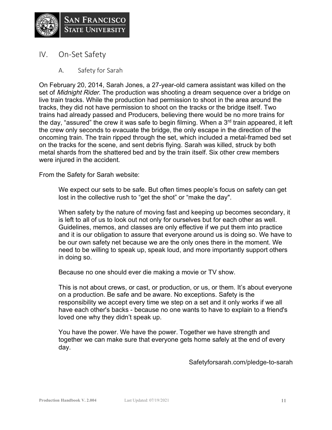

- IV. On-Set Safety
	- A. Safety for Sarah

On February 20, 2014, Sarah Jones, a 27-year-old camera assistant was killed on the set of *Midnight Rider*. The production was shooting a dream sequence over a bridge on live train tracks. While the production had permission to shoot in the area around the tracks, they did not have permission to shoot on the tracks or the bridge itself. Two trains had already passed and Producers, believing there would be no more trains for the day, "assured" the crew it was safe to begin filming. When a 3<sup>rd</sup> train appeared, it left the crew only seconds to evacuate the bridge, the only escape in the direction of the oncoming train. The train ripped through the set, which included a metal-framed bed set on the tracks for the scene, and sent debris flying. Sarah was killed, struck by both metal shards from the shattered bed and by the train itself. Six other crew members were injured in the accident.

From the Safety for Sarah website:

We expect our sets to be safe. But often times people's focus on safety can get lost in the collective rush to "get the shot" or "make the day".

When safety by the nature of moving fast and keeping up becomes secondary, it is left to all of us to look out not only for ourselves but for each other as well. Guidelines, memos, and classes are only effective if we put them into practice and it is our obligation to assure that everyone around us is doing so. We have to be our own safety net because we are the only ones there in the moment. We need to be willing to speak up, speak loud, and more importantly support others in doing so.

Because no one should ever die making a movie or TV show.

This is not about crews, or cast, or production, or us, or them. It's about everyone on a production. Be safe and be aware. No exceptions. Safety is the responsibility we accept every time we step on a set and it only works if we all have each other's backs - because no one wants to have to explain to a friend's loved one why they didn't speak up.

You have the power. We have the power. Together we have strength and together we can make sure that everyone gets home safely at the end of every day.

Safetyforsarah.com/pledge-to-sarah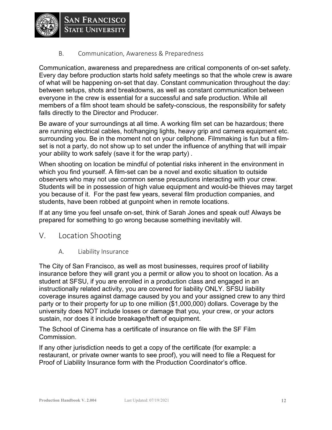

B. Communication, Awareness & Preparedness

SAN FRANCISCO

Communication, awareness and preparedness are critical components of on-set safety. Every day before production starts hold safety meetings so that the whole crew is aware of what will be happening on-set that day. Constant communication throughout the day: between setups, shots and breakdowns, as well as constant communication between everyone in the crew is essential for a successful and safe production. While all members of a film shoot team should be safety-conscious, the responsibility for safety falls directly to the Director and Producer.

Be aware of your surroundings at all time. A working film set can be hazardous; there are running electrical cables, hot/hanging lights, heavy grip and camera equipment etc. surrounding you. Be in the moment not on your cellphone. Filmmaking is fun but a filmset is not a party, do not show up to set under the influence of anything that will impair your ability to work safely (save it for the wrap party) .

When shooting on location be mindful of potential risks inherent in the environment in which you find yourself. A film-set can be a novel and exotic situation to outside observers who may not use common sense precautions interacting with your crew. Students will be in possession of high value equipment and would-be thieves may target you because of it. For the past few years, several film production companies, and students, have been robbed at gunpoint when in remote locations.

If at any time you feel unsafe on-set, think of Sarah Jones and speak out! Always be prepared for something to go wrong because something inevitably will.

- V. Location Shooting
	- A. Liability Insurance

The City of San Francisco, as well as most businesses, requires proof of liability insurance before they will grant you a permit or allow you to shoot on location. As a student at SFSU, if you are enrolled in a production class and engaged in an instructionally related activity, you are covered for liability ONLY. SFSU liability coverage insures against damage caused by you and your assigned crew to any third party or to their property for up to one million (\$1,000,000) dollars. Coverage by the university does NOT include losses or damage that you, your crew, or your actors sustain, nor does it include breakage/theft of equipment.

The School of Cinema has a certificate of insurance on file with the SF Film Commission.

If any other jurisdiction needs to get a copy of the certificate (for example: a restaurant, or private owner wants to see proof), you will need to file a Request for Proof of Liability Insurance form with the Production Coordinator's office.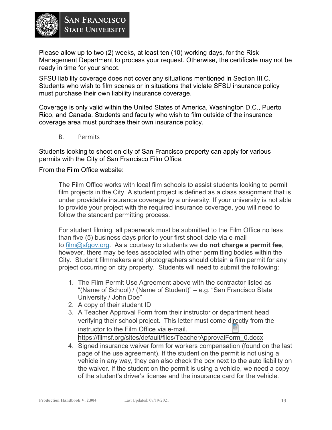

Please allow up to two (2) weeks, at least ten (10) working days, for the Risk Management Department to process your request. Otherwise, the certificate may not be ready in time for your shoot.

SFSU liability coverage does not cover any situations mentioned in Section III.C. Students who wish to film scenes or in situations that violate SFSU insurance policy must purchase their own liability insurance coverage.

Coverage is only valid within the United States of America, Washington D.C., Puerto Rico, and Canada. Students and faculty who wish to film outside of the insurance coverage area must purchase their own insurance policy.

B. Permits

Students looking to shoot on city of San Francisco property can apply for various permits with the City of San Francisco Film Office.

From the Film Office website:

The Film Office works with local film schools to assist students looking to permit film projects in the City. A student project is defined as a class assignment that is under providable insurance coverage by a university. If your university is not able to provide your project with the required insurance coverage, you will need to follow the standard permitting process.

For student filming, all paperwork must be submitted to the Film Office no less than five (5) business days prior to your first shoot date via e-mail to film@sfgov.org. As a courtesy to students we **do not charge a permit fee**, however, there may be fees associated with other permitting bodies within the City. Student filmmakers and photographers should obtain a film permit for any project occurring on city property. Students will need to submit the following:

- 1. The Film Permit Use Agreement above with the contractor listed as "(Name of School) / (Name of Student)" – e.g. "San Francisco State University / John Doe"
- 2. A copy of their student ID
- 3. A Teacher Approval Form from their instructor or department head verifying their school project. This letter must come directly from the instructor to the Film Office via e-mail. [https://filmsf.org/sites/default/files/TeacherApprovalForm\\_0.docx](https://filmsf.org/sites/default/files/TeacherApprovalForm_0.docx)
- 4. Signed insurance waiver form for workers compensation (found on the last page of the use agreement). If the student on the permit is not using a vehicle in any way, they can also check the box next to the auto liability on the waiver. If the student on the permit is using a vehicle, we need a copy of the student's driver's license and the insurance card for the vehicle.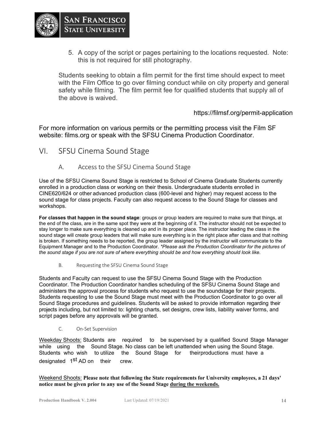

5. A copy of the script or pages pertaining to the locations requested. Note: this is not required for still photography.

Students seeking to obtain a film permit for the first time should expect to meet with the Film Office to go over filming conduct while on city property and general safety while filming. The film permit fee for qualified students that supply all of the above is waived.

#### https://filmsf.org/permit-application

For more information on various permits or the permitting process visit the Film SF website: films.org or speak with the SFSU Cinema Production Coordinator.

- VI. SFSU Cinema Sound Stage
	- A. Access to the SFSU Cinema Sound Stage

Use of the SFSU Cinema Sound Stage is restricted to School of Cinema Graduate Students currently enrolled in a production class or working on their thesis. Undergraduate students enrolled in CINE620/624 or otheradvanced production class (600-level and higher) may request access to the sound stage for class projects. Faculty can also request access to the Sound Stage for classes and workshops.

**For classes that happen in the sound stage**: groups or group leaders are required to make sure that things, at the end of the class, are in the same spot they were at the beginning of it. The instructor should not be expected to stay longer to make sure everything is cleaned up and in its proper place. The instructor leading the class in the sound stage will create group leaders that will make sure everything is in the right place after class and that nothing is broken. If something needs to be reported, the group leader assigned by the instructor will communicate to the Equipment Manager and to the Production Coordinator. *\*Please ask the Production Coordinator for the pictures of the sound stage if you are not sure of where everything should be and how everything should look like.*

B. Requesting the SFSU Cinema Sound Stage

Students and Faculty can request to use the SFSU Cinema Sound Stage with the Production Coordinator. The Production Coordinator handles scheduling of the SFSU Cinema Sound Stage and administers the approval process for students who request to use the soundstage for their projects. Students requesting to use the Sound Stage must meet with the Production Coordinator to go over all Sound Stage procedures and guidelines. Students will be asked to provide information regarding their projects including, but not limited to: lighting charts, set designs, crew lists, liability waiver forms, and script pages before any approvals will be granted.

C. On-Set Supervision

Weekday Shoots: Students are required to be supervised by a qualified Sound Stage Manager while using the Sound Stage. No class can be left unattended when using the Sound Stage. Students who wish to utilize the Sound Stage for their productions must have a designated 1<sup>st</sup> AD on their crew.

Weekend Shoots: **Please note that following the State requirements for University employees, a 21 days' notice must be given prior to any use of the Sound Stage during the weekends.**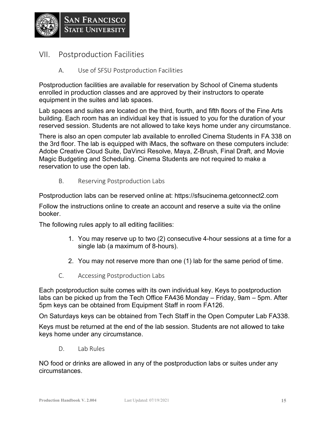

- VII. Postproduction Facilities
	- A. Use of SFSU Postproduction Facilities

Postproduction facilities are available for reservation by School of Cinema students enrolled in production classes and are approved by their instructors to operate equipment in the suites and lab spaces.

Lab spaces and suites are located on the third, fourth, and fifth floors of the Fine Arts building. Each room has an individual key that is issued to you for the duration of your reserved session. Students are not allowed to take keys home under any circumstance.

There is also an open computer lab available to enrolled Cinema Students in FA 338 on the 3rd floor. The lab is equipped with iMacs, the software on these computers include: Adobe Creative Cloud Suite, DaVinci Resolve, Maya, Z-Brush, Final Draft, and Movie Magic Budgeting and Scheduling. Cinema Students are not required to make a reservation to use the open lab.

B. Reserving Postproduction Labs

Postproduction labs can be reserved online at: https://sfsucinema.getconnect2.com

Follow the instructions online to create an account and reserve a suite via the online booker.

The following rules apply to all editing facilities:

- 1. You may reserve up to two (2) consecutive 4-hour sessions at a time for a single lab (a maximum of 8-hours).
- 2. You may not reserve more than one (1) lab for the same period of time.
- C. Accessing Postproduction Labs

Each postproduction suite comes with its own individual key. Keys to postproduction labs can be picked up from the Tech Office FA436 Monday – Friday, 9am – 5pm. After 5pm keys can be obtained from Equipment Staff in room FA126.

On Saturdays keys can be obtained from Tech Staff in the Open Computer Lab FA338.

Keys must be returned at the end of the lab session. Students are not allowed to take keys home under any circumstance.

D. Lab Rules

NO food or drinks are allowed in any of the postproduction labs or suites under any circumstances.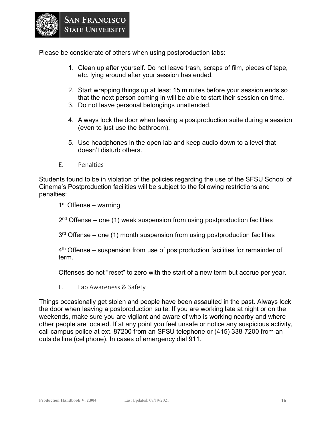

Please be considerate of others when using postproduction labs:

- 1. Clean up after yourself. Do not leave trash, scraps of film, pieces of tape, etc. lying around after your session has ended.
- 2. Start wrapping things up at least 15 minutes before your session ends so that the next person coming in will be able to start their session on time.
- 3. Do not leave personal belongings unattended.
- 4. Always lock the door when leaving a postproduction suite during a session (even to just use the bathroom).
- 5. Use headphones in the open lab and keep audio down to a level that doesn't disturb others.
- E. Penalties

Students found to be in violation of the policies regarding the use of the SFSU School of Cinema's Postproduction facilities will be subject to the following restrictions and penalties:

 $1<sup>st</sup>$  Offense – warning

 $2<sup>nd</sup>$  Offense – one (1) week suspension from using postproduction facilities

 $3<sup>rd</sup>$  Offense – one (1) month suspension from using postproduction facilities

 $4<sup>th</sup>$  Offense – suspension from use of postproduction facilities for remainder of term.

Offenses do not "reset" to zero with the start of a new term but accrue per year.

F. Lab Awareness & Safety

Things occasionally get stolen and people have been assaulted in the past. Always lock the door when leaving a postproduction suite. If you are working late at night or on the weekends, make sure you are vigilant and aware of who is working nearby and where other people are located. If at any point you feel unsafe or notice any suspicious activity, call campus police at ext. 87200 from an SFSU telephone or (415) 338-7200 from an outside line (cellphone). In cases of emergency dial 911.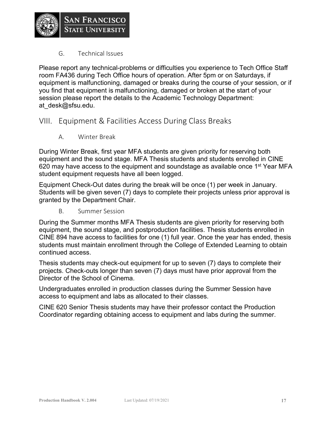G. Technical Issues

Please report any technical-problems or difficulties you experience to Tech Office Staff room FA436 during Tech Office hours of operation. After 5pm or on Saturdays, if equipment is malfunctioning, damaged or breaks during the course of your session, or if you find that equipment is malfunctioning, damaged or broken at the start of your session please report the details to the Academic Technology Department: at\_desk@sfsu.edu.

## VIII. Equipment & Facilities Access During Class Breaks

A. Winter Break

During Winter Break, first year MFA students are given priority for reserving both equipment and the sound stage. MFA Thesis students and students enrolled in CINE 620 may have access to the equipment and soundstage as available once 1<sup>st</sup> Year MFA student equipment requests have all been logged.

Equipment Check-Out dates during the break will be once (1) per week in January. Students will be given seven (7) days to complete their projects unless prior approval is granted by the Department Chair.

B. Summer Session

During the Summer months MFA Thesis students are given priority for reserving both equipment, the sound stage, and postproduction facilities. Thesis students enrolled in CINE 894 have access to facilities for one (1) full year. Once the year has ended, thesis students must maintain enrollment through the College of Extended Learning to obtain continued access.

Thesis students may check-out equipment for up to seven (7) days to complete their projects. Check-outs longer than seven (7) days must have prior approval from the Director of the School of Cinema.

Undergraduates enrolled in production classes during the Summer Session have access to equipment and labs as allocated to their classes.

CINE 620 Senior Thesis students may have their professor contact the Production Coordinator regarding obtaining access to equipment and labs during the summer.